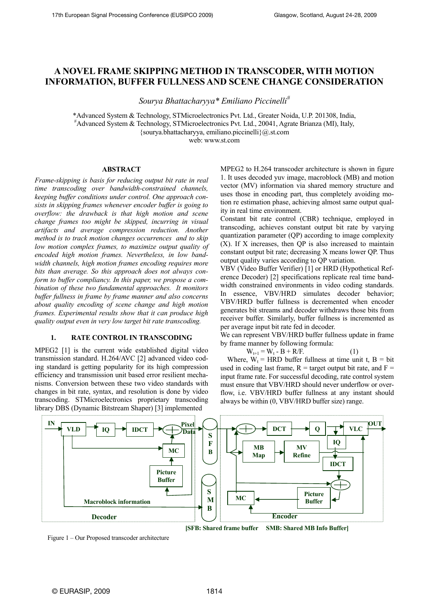# **A NOVEL FRAME SKIPPING METHOD IN TRANSCODER, WITH MOTION INFORMATION, BUFFER FULLNESS AND SCENE CHANGE CONSIDERATION**

*Sourya Bhattacharyya\* Emiliano Piccinelli#*

\*Advanced System & Technology, STMicroelectronics Pvt. Ltd., Greater Noida, U.P. 201308, India, # Advanced System & Technology, STMicroelectronics Pvt. Ltd., 20041, Agrate Brianza (MI), Italy, {sourya.bhattacharyya, emiliano.piccinelli}@.st.com web: www.st.com

# **ABSTRACT**

*Frame-skipping is basis for reducing output bit rate in real time transcoding over bandwidth-constrained channels, keeping buffer conditions under control. One approach consists in skipping frames whenever encoder buffer is going to overflow: the drawback is that high motion and scene change frames too might be skipped, incurring in visual artifacts and average compression reduction. Another method is to track motion changes occurrences and to skip low motion complex frames, to maximize output quality of encoded high motion frames. Nevertheless, in low bandwidth channels, high motion frames encoding requires more bits than average. So this approach does not always conform to buffer compliancy. In this paper, we propose a combination of these two fundamental approaches. It monitors buffer fullness in frame by frame manner and also concerns about quality encoding of scene change and high motion frames. Experimental results show that it can produce high quality output even in very low target bit rate transcoding.* 

# **1. RATE CONTROL IN TRANSCODING**

MPEG2 [1] is the current wide established digital video transmission standard. H.264/AVC [2] advanced video coding standard is getting popularity for its high compression efficiency and transmission unit based error resilient mechanisms. Conversion between these two video standards with changes in bit rate, syntax, and resolution is done by video transcoding. STMicroelectronics proprietary transcoding library DBS (Dynamic Bitstream Shaper) [3] implemented

MPEG2 to H.264 transcoder architecture is shown in figure 1. It uses decoded yuv image, macroblock (MB) and motion vector (MV) information via shared memory structure and uses those in encoding part, thus completely avoiding motion re estimation phase, achieving almost same output quality in real time environment.

Constant bit rate control (CBR) technique, employed in transcoding, achieves constant output bit rate by varying quantization parameter (QP) according to image complexity (X). If X increases, then QP is also increased to maintain constant output bit rate; decreasing X means lower QP. Thus output quality varies according to QP variation.

VBV (Video Buffer Verifier) [1] or HRD (Hypothetical Reference Decoder) [2] specifications replicate real time bandwidth constrained environments in video coding standards. In essence, VBV/HRD simulates decoder behavior; VBV/HRD buffer fullness is decremented when encoder generates bit streams and decoder withdraws those bits from receiver buffer. Similarly, buffer fullness is incremented as per average input bit rate fed in decoder.

We can represent VBV/HRD buffer fullness update in frame by frame manner by following formula:

 $W_{t+1} = W_t - B + R/F.$  (1)

Where,  $W_t$  = HRD buffer fullness at time unit t, B = bit used in coding last frame,  $R =$  target output bit rate, and  $F =$ input frame rate. For successful decoding, rate control system must ensure that VBV/HRD should never underflow or overflow, i.e. VBV/HRD buffer fullness at any instant should always be within (0, VBV/HRD buffer size) range.



Figure 1 – Our Proposed transcoder architecture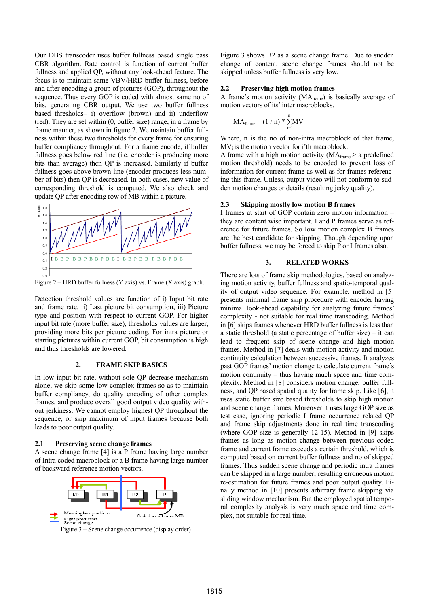Our DBS transcoder uses buffer fullness based single pass CBR algorithm. Rate control is function of current buffer fullness and applied QP, without any look-ahead feature. The focus is to maintain same VBV/HRD buffer fullness, before and after encoding a group of pictures (GOP), throughout the sequence. Thus every GOP is coded with almost same no of bits, generating CBR output. We use two buffer fullness based thresholds– i) overflow (brown) and ii) underflow (red). They are set within (0, buffer size) range, in a frame by frame manner, as shown in figure 2. We maintain buffer fullness within these two thresholds for every frame for ensuring buffer compliancy throughout. For a frame encode, if buffer fullness goes below red line (i.e. encoder is producing more bits than average) then QP is increased. Similarly if buffer fullness goes above brown line (encoder produces less number of bits) then QP is decreased. In both cases, new value of corresponding threshold is computed. We also check and update QP after encoding row of MB within a picture.



Figure 2 – HRD buffer fullness (Y axis) vs. Frame (X axis) graph.

Detection threshold values are function of i) Input bit rate and frame rate, ii) Last picture bit consumption, iii) Picture type and position with respect to current GOP. For higher input bit rate (more buffer size), thresholds values are larger, providing more bits per picture coding. For intra picture or starting pictures within current GOP, bit consumption is high and thus thresholds are lowered.

#### **2. FRAME SKIP BASICS**

In low input bit rate, without sole QP decrease mechanism alone, we skip some low complex frames so as to maintain buffer compliancy, do quality encoding of other complex frames, and produce overall good output video quality without jerkiness. We cannot employ highest QP throughout the sequence, or skip maximum of input frames because both leads to poor output quality.

#### **2.1 Preserving scene change frames**

A scene change frame [4] is a P frame having large number of Intra coded macroblock or a B frame having large number of backward reference motion vectors.



Figure 3 shows B2 as a scene change frame. Due to sudden change of content, scene change frames should not be skipped unless buffer fullness is very low.

#### **2.2 Preserving high motion frames**

A frame's motion activity (MAframe) is basically average of motion vectors of its' inter macroblocks.

$$
MA_{frame} \,{=}\, (1\mathbin{/}n) \,{*}\, \sum_{i=1}^n \! M V_i
$$

Where, n is the no of non-intra macroblock of that frame,  $MV<sub>i</sub>$  is the motion vector for i'th macroblock.

A frame with a high motion activity ( $MA_{frame}$  > a predefined motion threshold) needs to be encoded to prevent loss of information for current frame as well as for frames referencing this frame. Unless, output video will not conform to sudden motion changes or details (resulting jerky quality).

#### **2.3 Skipping mostly low motion B frames**

I frames at start of GOP contain zero motion information – they are content wise important. I and P frames serve as reference for future frames. So low motion complex B frames are the best candidate for skipping. Though depending upon buffer fullness, we may be forced to skip P or I frames also.

#### **3. RELATED WORKS**

There are lots of frame skip methodologies, based on analyzing motion activity, buffer fullness and spatio-temporal quality of output video sequence. For example, method in [5] presents minimal frame skip procedure with encoder having minimal look-ahead capability for analyzing future frames' complexity - not suitable for real time transcoding. Method in [6] skips frames whenever HRD buffer fullness is less than a static threshold (a static percentage of buffer size) – it can lead to frequent skip of scene change and high motion frames. Method in [7] deals with motion activity and motion continuity calculation between successive frames. It analyzes past GOP frames' motion change to calculate current frame's motion continuity – thus having much space and time complexity. Method in [8] considers motion change, buffer fullness, and QP based spatial quality for frame skip. Like [6], it uses static buffer size based thresholds to skip high motion and scene change frames. Moreover it uses large GOP size as test case, ignoring periodic I frame occurrence related QP and frame skip adjustments done in real time transcoding (where GOP size is generally 12-15). Method in [9] skips frames as long as motion change between previous coded frame and current frame exceeds a certain threshold, which is computed based on current buffer fullness and no of skipped frames. Thus sudden scene change and periodic intra frames can be skipped in a large number; resulting erroneous motion re-estimation for future frames and poor output quality. Finally method in [10] presents arbitrary frame skipping via sliding window mechanism. But the employed spatial temporal complexity analysis is very much space and time complex, not suitable for real time.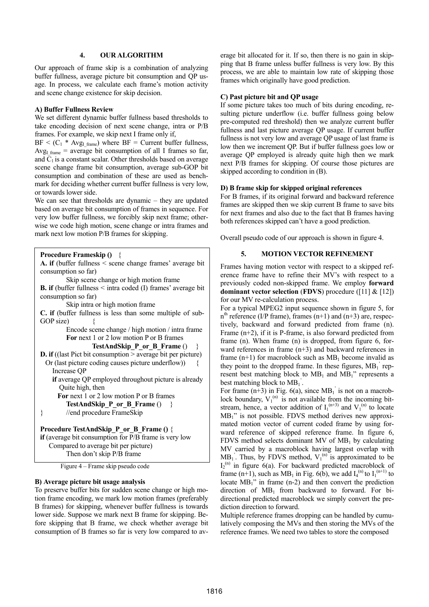## **4. OUR ALGORITHM**

Our approach of frame skip is a combination of analyzing buffer fullness, average picture bit consumption and QP usage. In process, we calculate each frame's motion activity and scene change existence for skip decision.

#### **A) Buffer Fullness Review**

We set different dynamic buffer fullness based thresholds to take encoding decision of next scene change, intra or P/B frames. For example, we skip next I frame only if,

 $BF < (C_1 * Avg_{I frame})$  where  $BF = Current$  buffer fullness, Avg<sub>I frame</sub> = average bit consumption of all I frames so far, and  $C_1$  is a constant scalar. Other thresholds based on average scene change frame bit consumption, average sub-GOP bit consumption and combination of these are used as benchmark for deciding whether current buffer fullness is very low, or towards lower side.

We can see that thresholds are dynamic – they are updated based on average bit consumption of frames in sequence. For very low buffer fullness, we forcibly skip next frame; otherwise we code high motion, scene change or intra frames and mark next low motion P/B frames for skipping.

```
Procedure Frameskip () {
```

```
A. if (buffer fullness < scene change frames' average bit 
consumption so far) 
          Skip scene change or high motion frame 
B. if (buffer fullness < intra coded (I) frames' average bit 
consumption so far) 
          Skip intra or high motion frame 
C. if (buffer fullness is less than some multiple of sub-
GOP size) \{ Encode scene change / high motion / intra frame 
         For next 1 or 2 low motion P or B frames 
                   TestAndSkip_P_or_B_Frame () } 
D. if ((last Pict bit consumption > average bit per picture)
  Or (last picture coding causes picture underflow)) { 
     Increase QP 
    if average QP employed throughout picture is already 
       Quite high, then 
       For next 1 or 2 low motion P or B frames 
         TestAndSkip_P_or_B_Frame () } 
} //end procedure FrameSkip
Procedure TestAndSkip_P_or_B_Frame () { 
if (average bit consumption for P/B frame is very low 
    Compared to average bit per picture)
```
Then don't skip P/B frame

Figure 4 – Frame skip pseudo code

## **B) Average picture bit usage analysis**

 $\overline{\phantom{a}}$ 

To preserve buffer bits for sudden scene change or high motion frame encoding, we mark low motion frames (preferably B frames) for skipping, whenever buffer fullness is towards lower side. Suppose we mark next B frame for skipping. Before skipping that B frame, we check whether average bit consumption of B frames so far is very low compared to average bit allocated for it. If so, then there is no gain in skipping that B frame unless buffer fullness is very low. By this process, we are able to maintain low rate of skipping those frames which originally have good prediction.

#### **C) Past picture bit and QP usage**

If some picture takes too much of bits during encoding, resulting picture underflow (i.e. buffer fullness going below pre-computed red threshold) then we analyze current buffer fullness and last picture average QP usage. If current buffer fullness is not very low and average QP usage of last frame is low then we increment QP. But if buffer fullness goes low or average QP employed is already quite high then we mark next P/B frames for skipping. Of course those pictures are skipped according to condition in (B).

#### **D) B frame skip for skipped original references**

For B frames, if its original forward and backward reference frames are skipped then we skip current B frame to save bits for next frames and also due to the fact that B frames having both references skipped can't have a good prediction.

Overall pseudo code of our approach is shown in figure 4.

# **5. MOTION VECTOR REFINEMENT**

Frames having motion vector with respect to a skipped reference frame have to refine their MV's with respect to a previously coded non-skipped frame. We employ **forward dominant vector selection** (**FDVS**) procedure ([11] & [12]) for our MV re-calculation process.

For a typical MPEG2 input sequence shown in figure 5, for  $n<sup>th</sup>$  reference (I/P frame), frames (n+1) and (n+3) are, respectively, backward and forward predicted from frame (n). Frame (n+2), if it is P-frame, is also forward predicted from frame (n). When frame (n) is dropped, from figure 6, forward references in frame (n+3) and backward references in frame  $(n+1)$  for macroblock such as  $MB_1$  become invalid as they point to the dropped frame. In these figures,  $MB<sub>1</sub>$  represent best matching block to  $MB_1$  and  $MB_1$ " represents a best matching block to  $MB_1$ <sup>'</sup>.

For frame  $(n+3)$  in Fig. 6(a), since MB<sub>1</sub> is not on a macroblock boundary,  $V_1^{(n)}$  is not available from the incoming bitstream, hence, a vector addition of  $I_1^{(n+3)}$  and  $V_1^{(n)}$  to locate MB1" is not possible. FDVS method derives new approximated motion vector of current coded frame by using forward reference of skipped reference frame. In figure 6, FDVS method selects dominant MV of  $MB_1$  by calculating MV carried by a macroblock having largest overlap with  $MB<sub>1</sub>$ . Thus, by FDVS method,  $V<sub>1</sub><sup>(n)</sup>$  is approximated to be I<sub>2</sub><sup>(n)</sup> in figure 6(a). For backward predicted macroblock of frame (n+1), such as MB<sub>1</sub> in Fig. 6(b), we add  $I_4^{(n)}$  to  $I_1^{(n+1)}$  to locate MB<sub>1</sub>" in frame (n-2) and then convert the prediction direction of  $MB_1$  from backward to forward. For bidirectional predicted macroblock we simply convert the prediction direction to forward.

Multiple reference frames dropping can be handled by cumulatively composing the MVs and then storing the MVs of the reference frames. We need two tables to store the composed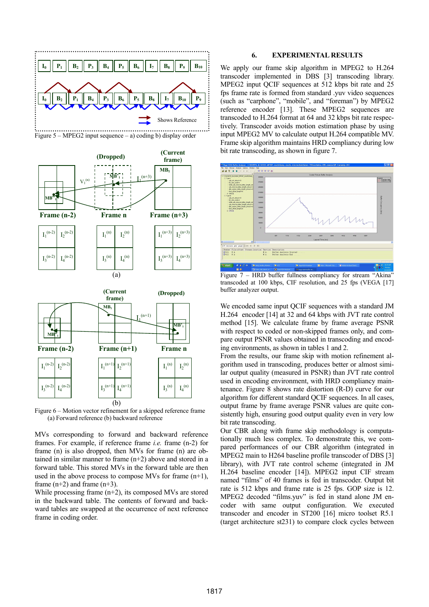

Figure 5 – MPEG2 input sequence – a) coding b) display order



Figure 6 – Motion vector refinement for a skipped reference frame (a) Forward reference (b) backward reference

MVs corresponding to forward and backward reference frames. For example, if reference frame *i.e.* frame (n-2) for frame (n) is also dropped, then MVs for frame (n) are obtained in similar manner to frame (n+2) above and stored in a forward table. This stored MVs in the forward table are then used in the above process to compose MVs for frame (n+1), frame  $(n+2)$  and frame  $(n+3)$ .

While processing frame (n+2), its composed MVs are stored in the backward table. The contents of forward and backward tables are swapped at the occurrence of next reference frame in coding order.

#### **6. EXPERIMENTAL RESULTS**

We apply our frame skip algorithm in MPEG2 to H.264 transcoder implemented in DBS [3] transcoding library. MPEG2 input QCIF sequences at 512 kbps bit rate and 25 fps frame rate is formed from standard .yuv video sequences (such as "carphone", "mobile", and "foreman") by MPEG2 reference encoder [13]. These MPEG2 sequences are transcoded to H.264 format at 64 and 32 kbps bit rate respectively. Transcoder avoids motion estimation phase by using input MPEG2 MV to calculate output H.264 compatible MV. Frame skip algorithm maintains HRD compliancy during low bit rate transcoding, as shown in figure 7.



Figure 7 – HRD buffer fullness compliancy for stream "Akina" transcoded at 100 kbps, CIF resolution, and 25 fps (VEGA [17] buffer analyzer output.

We encoded same input QCIF sequences with a standard JM H.264 encoder [14] at 32 and 64 kbps with JVT rate control method [15]. We calculate frame by frame average PSNR with respect to coded or non-skipped frames only, and compare output PSNR values obtained in transcoding and encoding environments, as shown in tables 1 and 2.

From the results, our frame skip with motion refinement algorithm used in transcoding, produces better or almost similar output quality (measured in PSNR) than JVT rate control used in encoding environment, with HRD compliancy maintenance. Figure 8 shows rate distortion (R-D) curve for our algorithm for different standard QCIF sequences. In all cases, output frame by frame average PSNR values are quite consistently high, ensuring good output quality even in very low bit rate transcoding.

Our CBR along with frame skip methodology is computationally much less complex. To demonstrate this, we compared performances of our CBR algorithm (integrated in MPEG2 main to H264 baseline profile transcoder of DBS [3] library), with JVT rate control scheme (integrated in JM H.264 baseline encoder [14]). MPEG2 input CIF stream named "films" of 40 frames is fed in transcoder. Output bit rate is 512 kbps and frame rate is 25 fps. GOP size is 12. MPEG2 decoded "films.yuv" is fed in stand alone JM encoder with same output configuration. We executed transcoder and encoder in ST200 [16] micro toolset R5.1 (target architecture st231) to compare clock cycles between